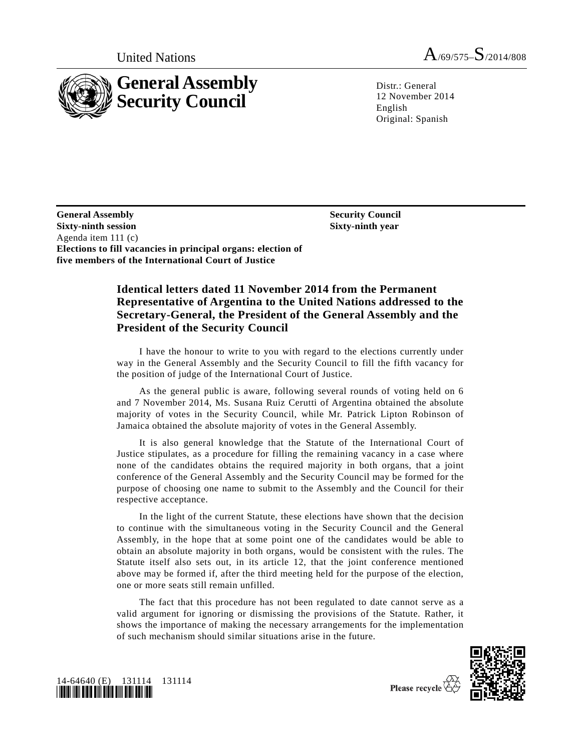

United Nations  $A_{/69/575}$ ,  $S_{/2014/808}$ 

Distr.: General 12 November 2014 English Original: Spanish

**Security Council Sixty-ninth year**

**General Assembly Sixty-ninth session**  Agenda item 111 (c) **Elections to fill vacancies in principal organs: election of five members of the International Court of Justice**

## **Identical letters dated 11 November 2014 from the Permanent Representative of Argentina to the United Nations addressed to the Secretary-General, the President of the General Assembly and the President of the Security Council**

I have the honour to write to you with regard to the elections currently under way in the General Assembly and the Security Council to fill the fifth vacancy for the position of judge of the International Court of Justice.

As the general public is aware, following several rounds of voting held on 6 and 7 November 2014, Ms. Susana Ruiz Cerutti of Argentina obtained the absolute majority of votes in the Security Council, while Mr. Patrick Lipton Robinson of Jamaica obtained the absolute majority of votes in the General Assembly.

It is also general knowledge that the Statute of the International Court of Justice stipulates, as a procedure for filling the remaining vacancy in a case where none of the candidates obtains the required majority in both organs, that a joint conference of the General Assembly and the Security Council may be formed for the purpose of choosing one name to submit to the Assembly and the Council for their respective acceptance.

In the light of the current Statute, these elections have shown that the decision to continue with the simultaneous voting in the Security Council and the General Assembly, in the hope that at some point one of the candidates would be able to obtain an absolute majority in both organs, would be consistent with the rules. The Statute itself also sets out, in its article 12, that the joint conference mentioned above may be formed if, after the third meeting held for the purpose of the election, one or more seats still remain unfilled.

The fact that this procedure has not been regulated to date cannot serve as a valid argument for ignoring or dismissing the provisions of the Statute. Rather, it shows the importance of making the necessary arrangements for the implementation of such mechanism should similar situations arise in the future.





Please recycle